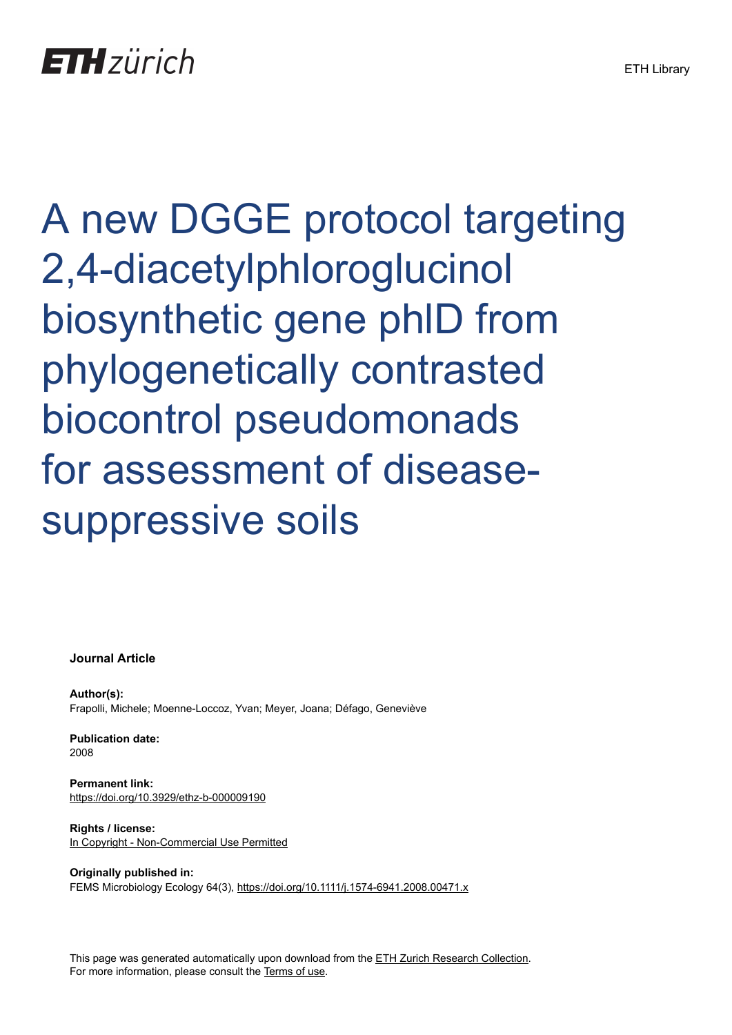# A new DGGE protocol targeting 2,4-diacetylphloroglucinol biosynthetic gene phlD from phylogenetically contrasted biocontrol pseudomonads for assessment of diseasesuppressive soils

**Journal Article**

**Author(s):** Frapolli, Michele; Moenne-Loccoz, Yvan; Meyer, Joana; Défago, Geneviève

**Publication date:** 2008

**Permanent link:** <https://doi.org/10.3929/ethz-b-000009190>

**Rights / license:** [In Copyright - Non-Commercial Use Permitted](http://rightsstatements.org/page/InC-NC/1.0/)

**Originally published in:** FEMS Microbiology Ecology 64(3), <https://doi.org/10.1111/j.1574-6941.2008.00471.x>

This page was generated automatically upon download from the [ETH Zurich Research Collection.](https://www.research-collection.ethz.ch) For more information, please consult the [Terms of use](https://www.research-collection.ethz.ch/terms-of-use).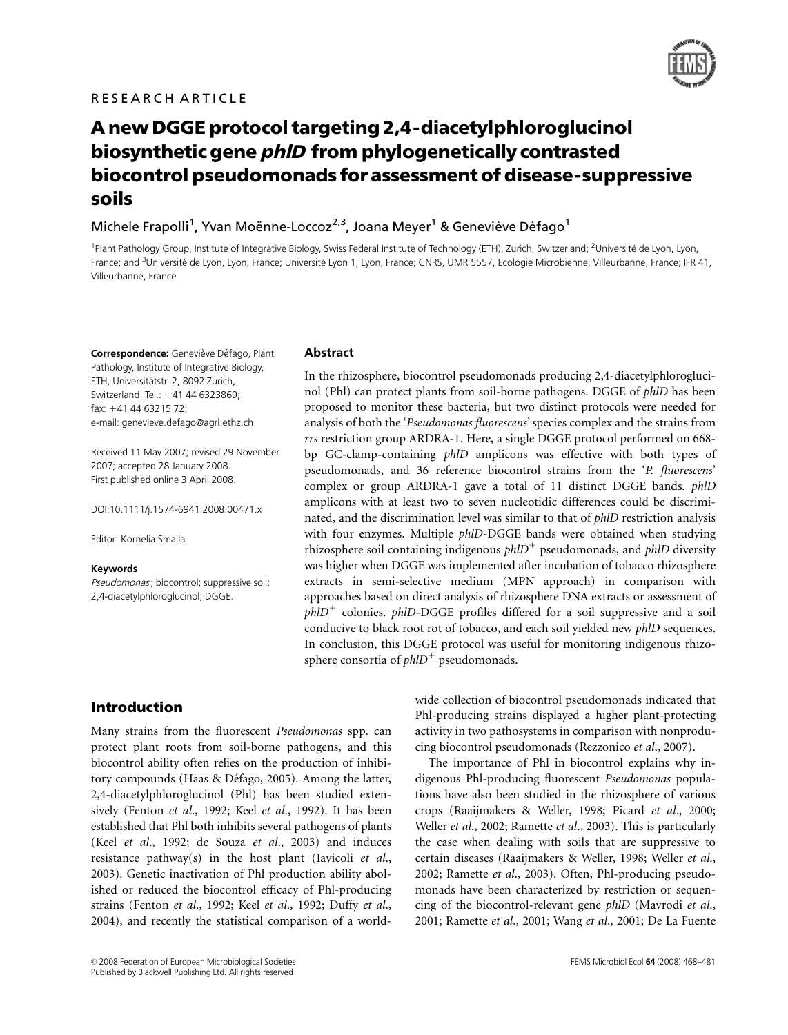

# A new DGGE protocol targeting 2,4-diacetylphloroglucinol biosynthetic gene phlD from phylogenetically contrasted biocontrol pseudomonads for assessment of disease-suppressive soils

Michele Frapolli<sup>1</sup>, Yvan Moënne-Loccoz<sup>2,3</sup>, Joana Meyer<sup>1</sup> & Geneviève Défago<sup>1</sup>

<sup>1</sup>Plant Pathology Group, Institute of Integrative Biology, Swiss Federal Institute of Technology (ETH), Zurich, Switzerland; <sup>2</sup>Université de Lyon, Lyon, France; and <sup>3</sup>Université de Lyon, Lyon, France; Université Lyon 1, Lyon, France; CNRS, UMR 5557, Ecologie Microbienne, Villeurbanne, France; IFR 41, Villeurbanne, France

Correspondence: Geneviève Défago, Plant Pathology, Institute of Integrative Biology, ETH, Universitätstr. 2, 8092 Zurich, Switzerland. Tel.: +41 44 6323869; fax: 141 44 63215 72; e-mail: genevieve.defago@agrl.ethz.ch

Received 11 May 2007; revised 29 November 2007; accepted 28 January 2008. First published online 3 April 2008.

DOI:10.1111/j.1574-6941.2008.00471.x

Editor: Kornelia Smalla

#### Keywords

Pseudomonas; biocontrol; suppressive soil; 2,4-diacetylphloroglucinol; DGGE.

#### Abstract

In the rhizosphere, biocontrol pseudomonads producing 2,4-diacetylphloroglucinol (Phl) can protect plants from soil-borne pathogens. DGGE of phlD has been proposed to monitor these bacteria, but two distinct protocols were needed for analysis of both the 'Pseudomonas fluorescens' species complex and the strains from rrs restriction group ARDRA-1. Here, a single DGGE protocol performed on 668 bp GC-clamp-containing phlD amplicons was effective with both types of pseudomonads, and 36 reference biocontrol strains from the 'P. fluorescens' complex or group ARDRA-1 gave a total of 11 distinct DGGE bands. phlD amplicons with at least two to seven nucleotidic differences could be discriminated, and the discrimination level was similar to that of phlD restriction analysis with four enzymes. Multiple *phlD-DGGE* bands were obtained when studying rhizosphere soil containing indigenous  $phID<sup>+</sup>$  pseudomonads, and  $phID$  diversity was higher when DGGE was implemented after incubation of tobacco rhizosphere extracts in semi-selective medium (MPN approach) in comparison with approaches based on direct analysis of rhizosphere DNA extracts or assessment of  $phID<sup>+</sup>$  colonies.  $phID-DGGE$  profiles differed for a soil suppressive and a soil conducive to black root rot of tobacco, and each soil yielded new phlD sequences. In conclusion, this DGGE protocol was useful for monitoring indigenous rhizosphere consortia of  $phID<sup>+</sup>$  pseudomonads.

Introduction

Many strains from the fluorescent Pseudomonas spp. can protect plant roots from soil-borne pathogens, and this biocontrol ability often relies on the production of inhibitory compounds (Haas & Défago, 2005). Among the latter, 2,4-diacetylphloroglucinol (Phl) has been studied extensively (Fenton et al., 1992; Keel et al., 1992). It has been established that Phl both inhibits several pathogens of plants (Keel et al., 1992; de Souza et al., 2003) and induces resistance pathway(s) in the host plant (Iavicoli et al., 2003). Genetic inactivation of Phl production ability abolished or reduced the biocontrol efficacy of Phl-producing strains (Fenton et al., 1992; Keel et al., 1992; Duffy et al., 2004), and recently the statistical comparison of a worldwide collection of biocontrol pseudomonads indicated that Phl-producing strains displayed a higher plant-protecting activity in two pathosystems in comparison with nonproducing biocontrol pseudomonads (Rezzonico et al., 2007).

The importance of Phl in biocontrol explains why indigenous Phl-producing fluorescent Pseudomonas populations have also been studied in the rhizosphere of various crops (Raaijmakers & Weller, 1998; Picard et al., 2000; Weller et al., 2002; Ramette et al., 2003). This is particularly the case when dealing with soils that are suppressive to certain diseases (Raaijmakers & Weller, 1998; Weller et al., 2002; Ramette et al., 2003). Often, Phl-producing pseudomonads have been characterized by restriction or sequencing of the biocontrol-relevant gene phlD (Mavrodi et al., 2001; Ramette et al., 2001; Wang et al., 2001; De La Fuente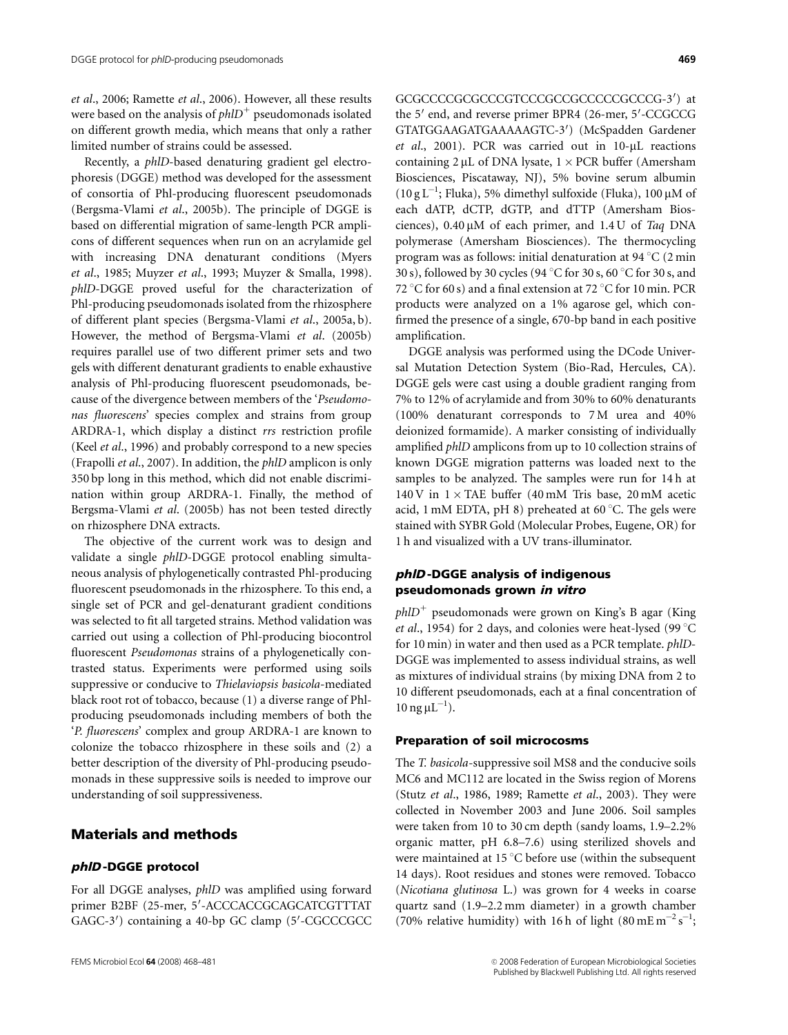et al., 2006; Ramette et al., 2006). However, all these results were based on the analysis of  $phID<sup>+</sup>$  pseudomonads isolated on different growth media, which means that only a rather limited number of strains could be assessed.

Recently, a phlD-based denaturing gradient gel electrophoresis (DGGE) method was developed for the assessment of consortia of Phl-producing fluorescent pseudomonads (Bergsma-Vlami et al., 2005b). The principle of DGGE is based on differential migration of same-length PCR amplicons of different sequences when run on an acrylamide gel with increasing DNA denaturant conditions (Myers et al., 1985; Muyzer et al., 1993; Muyzer & Smalla, 1998). phlD-DGGE proved useful for the characterization of Phl-producing pseudomonads isolated from the rhizosphere of different plant species (Bergsma-Vlami et al., 2005a, b). However, the method of Bergsma-Vlami et al. (2005b) requires parallel use of two different primer sets and two gels with different denaturant gradients to enable exhaustive analysis of Phl-producing fluorescent pseudomonads, because of the divergence between members of the 'Pseudomonas fluorescens' species complex and strains from group ARDRA-1, which display a distinct rrs restriction profile (Keel et al., 1996) and probably correspond to a new species (Frapolli et al., 2007). In addition, the phlD amplicon is only 350 bp long in this method, which did not enable discrimination within group ARDRA-1. Finally, the method of Bergsma-Vlami et al. (2005b) has not been tested directly on rhizosphere DNA extracts.

The objective of the current work was to design and validate a single phlD-DGGE protocol enabling simultaneous analysis of phylogenetically contrasted Phl-producing fluorescent pseudomonads in the rhizosphere. To this end, a single set of PCR and gel-denaturant gradient conditions was selected to fit all targeted strains. Method validation was carried out using a collection of Phl-producing biocontrol fluorescent Pseudomonas strains of a phylogenetically contrasted status. Experiments were performed using soils suppressive or conducive to Thielaviopsis basicola-mediated black root rot of tobacco, because (1) a diverse range of Phlproducing pseudomonads including members of both the 'P. fluorescens' complex and group ARDRA-1 are known to colonize the tobacco rhizosphere in these soils and (2) a better description of the diversity of Phl-producing pseudomonads in these suppressive soils is needed to improve our understanding of soil suppressiveness.

# Materials and methods

#### phlD -DGGE protocol

For all DGGE analyses, phlD was amplified using forward primer B2BF (25-mer, 5'-ACCCACCGCAGCATCGTTTAT GAGC-3') containing a 40-bp GC clamp (5'-CGCCCGCC

GCGCCCCGCGCCCGTCCCGCCGCCCCCGCCCG-3') at the 5' end, and reverse primer BPR4 (26-mer, 5'-CCGCCG GTATGGAAGATGAAAAAGTC-3') (McSpadden Gardener et al., 2001). PCR was carried out in  $10-\mu L$  reactions containing  $2 \mu L$  of DNA lysate,  $1 \times PCR$  buffer (Amersham Biosciences, Piscataway, NJ), 5% bovine serum albumin (10 g L<sup>-1</sup>; Fluka), 5% dimethyl sulfoxide (Fluka), 100  $\mu$ M of each dATP, dCTP, dGTP, and dTTP (Amersham Biosciences),  $0.40 \mu M$  of each primer, and  $1.4 U$  of Taq DNA polymerase (Amersham Biosciences). The thermocycling program was as follows: initial denaturation at 94  $\mathrm{C}$  (2 min 30 s), followed by 30 cycles (94  $\degree$ C for 30 s, 60  $\degree$ C for 30 s, and 72 °C for 60 s) and a final extension at 72 °C for 10 min. PCR products were analyzed on a 1% agarose gel, which confirmed the presence of a single, 670-bp band in each positive amplification.

DGGE analysis was performed using the DCode Universal Mutation Detection System (Bio-Rad, Hercules, CA). DGGE gels were cast using a double gradient ranging from 7% to 12% of acrylamide and from 30% to 60% denaturants (100% denaturant corresponds to 7 M urea and 40% deionized formamide). A marker consisting of individually amplified phlD amplicons from up to 10 collection strains of known DGGE migration patterns was loaded next to the samples to be analyzed. The samples were run for 14 h at 140 V in  $1 \times$  TAE buffer (40 mM Tris base, 20 mM acetic acid, 1 mM EDTA, pH 8) preheated at 60  $\degree$ C. The gels were stained with SYBR Gold (Molecular Probes, Eugene, OR) for 1 h and visualized with a UV trans-illuminator.

#### phlD -DGGE analysis of indigenous pseudomonads grown in vitro

 $phID^+$  pseudomonads were grown on King's B agar (King) et al., 1954) for 2 days, and colonies were heat-lysed (99  $^{\circ}$ C for 10 min) in water and then used as a PCR template. phlD-DGGE was implemented to assess individual strains, as well as mixtures of individual strains (by mixing DNA from 2 to 10 different pseudomonads, each at a final concentration of  $10 \text{ ng } \mu L^{-1}$ ).

#### Preparation of soil microcosms

The T. basicola-suppressive soil MS8 and the conducive soils MC6 and MC112 are located in the Swiss region of Morens (Stutz et al., 1986, 1989; Ramette et al., 2003). They were collected in November 2003 and June 2006. Soil samples were taken from 10 to 30 cm depth (sandy loams, 1.9–2.2% organic matter, pH 6.8–7.6) using sterilized shovels and were maintained at  $15^{\circ}$ C before use (within the subsequent 14 days). Root residues and stones were removed. Tobacco (Nicotiana glutinosa L.) was grown for 4 weeks in coarse quartz sand (1.9–2.2 mm diameter) in a growth chamber (70% relative humidity) with 16 h of light (80 mE m<sup>-2</sup> s<sup>-1</sup>;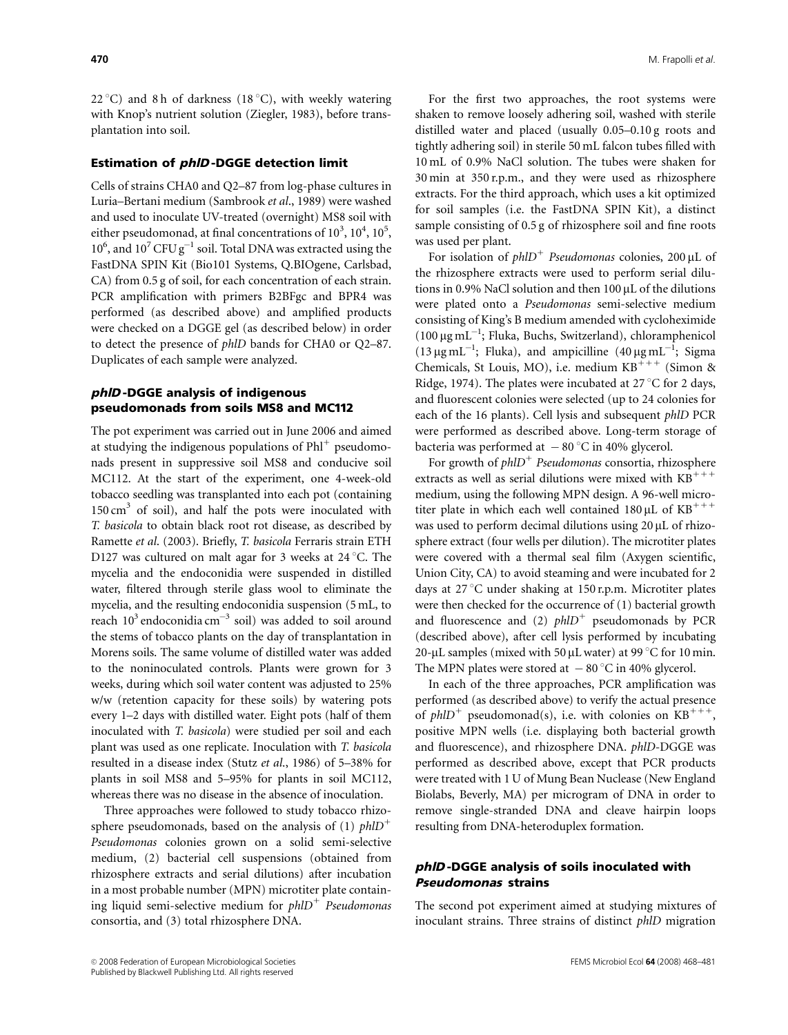22 °C) and 8 h of darkness (18 °C), with weekly watering with Knop's nutrient solution (Ziegler, 1983), before transplantation into soil.

#### Estimation of phlD -DGGE detection limit

Cells of strains CHA0 and Q2–87 from log-phase cultures in Luria–Bertani medium (Sambrook et al., 1989) were washed and used to inoculate UV-treated (overnight) MS8 soil with either pseudomonad, at final concentrations of  $10^3$ ,  $10^4$ ,  $10^5$ ,  $10^6$ , and  $10^7$  CFU g<sup>-1</sup> soil. Total DNA was extracted using the FastDNA SPIN Kit (Bio101 Systems, Q.BIOgene, Carlsbad, CA) from 0.5 g of soil, for each concentration of each strain. PCR amplification with primers B2BFgc and BPR4 was performed (as described above) and amplified products were checked on a DGGE gel (as described below) in order to detect the presence of phlD bands for CHA0 or Q2–87. Duplicates of each sample were analyzed.

#### phlD -DGGE analysis of indigenous pseudomonads from soils MS8 and MC112

The pot experiment was carried out in June 2006 and aimed at studying the indigenous populations of  $Phl^+$  pseudomonads present in suppressive soil MS8 and conducive soil MC112. At the start of the experiment, one 4-week-old tobacco seedling was transplanted into each pot (containing  $150 \text{ cm}^3$  of soil), and half the pots were inoculated with T. basicola to obtain black root rot disease, as described by Ramette et al. (2003). Briefly, T. basicola Ferraris strain ETH D127 was cultured on malt agar for 3 weeks at  $24^{\circ}$ C. The mycelia and the endoconidia were suspended in distilled water, filtered through sterile glass wool to eliminate the mycelia, and the resulting endoconidia suspension (5 mL, to reach  $10^3$  endoconidia cm<sup>-3</sup> soil) was added to soil around the stems of tobacco plants on the day of transplantation in Morens soils. The same volume of distilled water was added to the noninoculated controls. Plants were grown for 3 weeks, during which soil water content was adjusted to 25% w/w (retention capacity for these soils) by watering pots every 1–2 days with distilled water. Eight pots (half of them inoculated with T. basicola) were studied per soil and each plant was used as one replicate. Inoculation with T. basicola resulted in a disease index (Stutz et al., 1986) of 5–38% for plants in soil MS8 and 5–95% for plants in soil MC112, whereas there was no disease in the absence of inoculation.

Three approaches were followed to study tobacco rhizosphere pseudomonads, based on the analysis of (1)  $phID^+$ Pseudomonas colonies grown on a solid semi-selective medium, (2) bacterial cell suspensions (obtained from rhizosphere extracts and serial dilutions) after incubation in a most probable number (MPN) microtiter plate containing liquid semi-selective medium for  $phID<sup>+</sup>$  Pseudomonas consortia, and (3) total rhizosphere DNA.

For the first two approaches, the root systems were shaken to remove loosely adhering soil, washed with sterile distilled water and placed (usually 0.05–0.10 g roots and tightly adhering soil) in sterile 50 mL falcon tubes filled with 10 mL of 0.9% NaCl solution. The tubes were shaken for 30 min at 350 r.p.m., and they were used as rhizosphere extracts. For the third approach, which uses a kit optimized for soil samples (i.e. the FastDNA SPIN Kit), a distinct sample consisting of 0.5 g of rhizosphere soil and fine roots was used per plant.

For isolation of  $phID<sup>+</sup>$  Pseudomonas colonies, 200 µL of the rhizosphere extracts were used to perform serial dilutions in 0.9% NaCl solution and then  $100 \mu L$  of the dilutions were plated onto a Pseudomonas semi-selective medium consisting of King's B medium amended with cycloheximide (100  $\mu$ g mL<sup>-1</sup>; Fluka, Buchs, Switzerland), chloramphenicol (13  $\mu$ g mL<sup>-1</sup>; Fluka), and ampicilline (40  $\mu$ g mL<sup>-1</sup>; Sigma Chemicals, St Louis, MO), i.e. medium  $KB^{+++}$  (Simon & Ridge, 1974). The plates were incubated at 27  $\mathrm{^{\circ}C}$  for 2 days, and fluorescent colonies were selected (up to 24 colonies for each of the 16 plants). Cell lysis and subsequent phlD PCR were performed as described above. Long-term storage of bacteria was performed at  $-80^{\circ}$ C in 40% glycerol.

For growth of  $phID<sup>+</sup>$  Pseudomonas consortia, rhizosphere extracts as well as serial dilutions were mixed with  $KB^{+++}$ medium, using the following MPN design. A 96-well microtiter plate in which each well contained  $180 \mu L$  of  $KB^{+++}$ was used to perform decimal dilutions using  $20 \mu L$  of rhizosphere extract (four wells per dilution). The microtiter plates were covered with a thermal seal film (Axygen scientific, Union City, CA) to avoid steaming and were incubated for 2 days at  $27^{\circ}$ C under shaking at 150 r.p.m. Microtiter plates were then checked for the occurrence of (1) bacterial growth and fluorescence and (2)  $phID<sup>+</sup>$  pseudomonads by PCR (described above), after cell lysis performed by incubating 20-µL samples (mixed with 50 µL water) at 99  $\mathrm{^{\circ}C}$  for 10 min. The MPN plates were stored at  $-80^{\circ}$ C in 40% glycerol.

In each of the three approaches, PCR amplification was performed (as described above) to verify the actual presence of  $phID<sup>+</sup>$  pseudomonad(s), i.e. with colonies on KB<sup>+++</sup>, positive MPN wells (i.e. displaying both bacterial growth and fluorescence), and rhizosphere DNA. phlD-DGGE was performed as described above, except that PCR products were treated with 1 U of Mung Bean Nuclease (New England Biolabs, Beverly, MA) per microgram of DNA in order to remove single-stranded DNA and cleave hairpin loops resulting from DNA-heteroduplex formation.

# phlD -DGGE analysis of soils inoculated with Pseudomonas strains

The second pot experiment aimed at studying mixtures of inoculant strains. Three strains of distinct phlD migration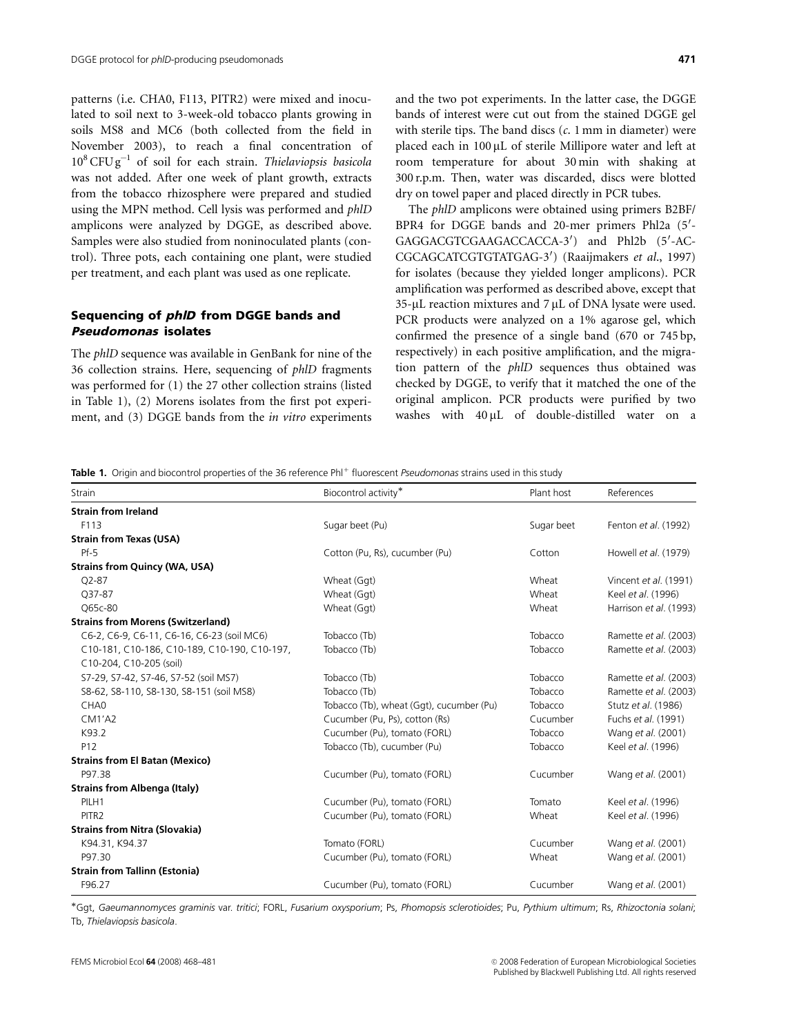patterns (i.e. CHA0, F113, PITR2) were mixed and inoculated to soil next to 3-week-old tobacco plants growing in soils MS8 and MC6 (both collected from the field in November 2003), to reach a final concentration of  $10^8$  CFU g<sup>-1</sup> of soil for each strain. Thielaviopsis basicola was not added. After one week of plant growth, extracts from the tobacco rhizosphere were prepared and studied using the MPN method. Cell lysis was performed and phlD amplicons were analyzed by DGGE, as described above. Samples were also studied from noninoculated plants (control). Three pots, each containing one plant, were studied per treatment, and each plant was used as one replicate.

# Sequencing of phlD from DGGE bands and Pseudomonas isolates

The phlD sequence was available in GenBank for nine of the 36 collection strains. Here, sequencing of phlD fragments was performed for (1) the 27 other collection strains (listed in Table 1), (2) Morens isolates from the first pot experiment, and (3) DGGE bands from the in vitro experiments

and the two pot experiments. In the latter case, the DGGE bands of interest were cut out from the stained DGGE gel with sterile tips. The band discs  $(c. 1 \text{ mm in diameter})$  were placed each in 100 µL of sterile Millipore water and left at room temperature for about 30 min with shaking at 300 r.p.m. Then, water was discarded, discs were blotted dry on towel paper and placed directly in PCR tubes.

The phlD amplicons were obtained using primers B2BF/ BPR4 for DGGE bands and 20-mer primers Phl2a (5'-GAGGACGTCGAAGACCACCA-3') and Phl2b (5'-AC-CGCAGCATCGTGTATGAG-3') (Raaijmakers et al., 1997) for isolates (because they yielded longer amplicons). PCR amplification was performed as described above, except that  $35$ -µL reaction mixtures and 7 µL of DNA lysate were used. PCR products were analyzed on a 1% agarose gel, which confirmed the presence of a single band (670 or 745 bp, respectively) in each positive amplification, and the migration pattern of the phlD sequences thus obtained was checked by DGGE, to verify that it matched the one of the original amplicon. PCR products were purified by two washes with  $40 \mu L$  of double-distilled water on a

Table 1. Origin and biocontrol properties of the 36 reference Phl<sup>+</sup> fluorescent Pseudomonas strains used in this study

| Strain                                       | Biocontrol activity*                     | Plant host | References             |  |
|----------------------------------------------|------------------------------------------|------------|------------------------|--|
| <b>Strain from Ireland</b>                   |                                          |            |                        |  |
| F113                                         | Sugar beet (Pu)                          | Sugar beet | Fenton et al. (1992)   |  |
| <b>Strain from Texas (USA)</b>               |                                          |            |                        |  |
| $Pf-5$                                       | Cotton (Pu, Rs), cucumber (Pu)           | Cotton     | Howell et al. (1979)   |  |
| <b>Strains from Quincy (WA, USA)</b>         |                                          |            |                        |  |
| $Q2 - 87$                                    | Wheat (Ggt)                              | Wheat      | Vincent et al. (1991)  |  |
| Q37-87                                       | Wheat (Ggt)                              | Wheat      | Keel et al. (1996)     |  |
| O65c-80                                      | Wheat (Ggt)                              | Wheat      | Harrison et al. (1993) |  |
| <b>Strains from Morens (Switzerland)</b>     |                                          |            |                        |  |
| C6-2, C6-9, C6-11, C6-16, C6-23 (soil MC6)   | Tobacco (Tb)                             | Tobacco    | Ramette et al. (2003)  |  |
| C10-181, C10-186, C10-189, C10-190, C10-197, | Tobacco (Tb)                             | Tobacco    | Ramette et al. (2003)  |  |
| C10-204, C10-205 (soil)                      |                                          |            |                        |  |
| S7-29, S7-42, S7-46, S7-52 (soil MS7)        | Tobacco (Tb)                             | Tobacco    | Ramette et al. (2003)  |  |
| S8-62, S8-110, S8-130, S8-151 (soil MS8)     | Tobacco (Tb)                             | Tobacco    | Ramette et al. (2003)  |  |
| CHA <sub>0</sub>                             | Tobacco (Tb), wheat (Ggt), cucumber (Pu) | Tobacco    | Stutz et al. (1986)    |  |
| $CM1'$ A2                                    | Cucumber (Pu, Ps), cotton (Rs)           | Cucumber   | Fuchs et al. (1991)    |  |
| K93.2                                        | Cucumber (Pu), tomato (FORL)             | Tobacco    | Wang et al. (2001)     |  |
| P12                                          | Tobacco (Tb), cucumber (Pu)              | Tobacco    | Keel et al. (1996)     |  |
| <b>Strains from El Batan (Mexico)</b>        |                                          |            |                        |  |
| P97.38                                       | Cucumber (Pu), tomato (FORL)             | Cucumber   | Wang et al. (2001)     |  |
| <b>Strains from Albenga (Italy)</b>          |                                          |            |                        |  |
| PILH1                                        | Cucumber (Pu), tomato (FORL)             | Tomato     | Keel et al. (1996)     |  |
| PITR <sub>2</sub>                            | Cucumber (Pu), tomato (FORL)             | Wheat      | Keel et al. (1996)     |  |
| <b>Strains from Nitra (Slovakia)</b>         |                                          |            |                        |  |
| K94.31, K94.37                               | Tomato (FORL)                            | Cucumber   | Wang et al. (2001)     |  |
| P97.30                                       | Cucumber (Pu), tomato (FORL)             | Wheat      | Wang et al. (2001)     |  |
| <b>Strain from Tallinn (Estonia)</b>         |                                          |            |                        |  |
| F96.27                                       | Cucumber (Pu), tomato (FORL)             | Cucumber   | Wang et al. (2001)     |  |

Ggt, Gaeumannomyces graminis var. tritici; FORL, Fusarium oxysporium; Ps, Phomopsis sclerotioides; Pu, Pythium ultimum; Rs, Rhizoctonia solani; Tb, Thielaviopsis basicola.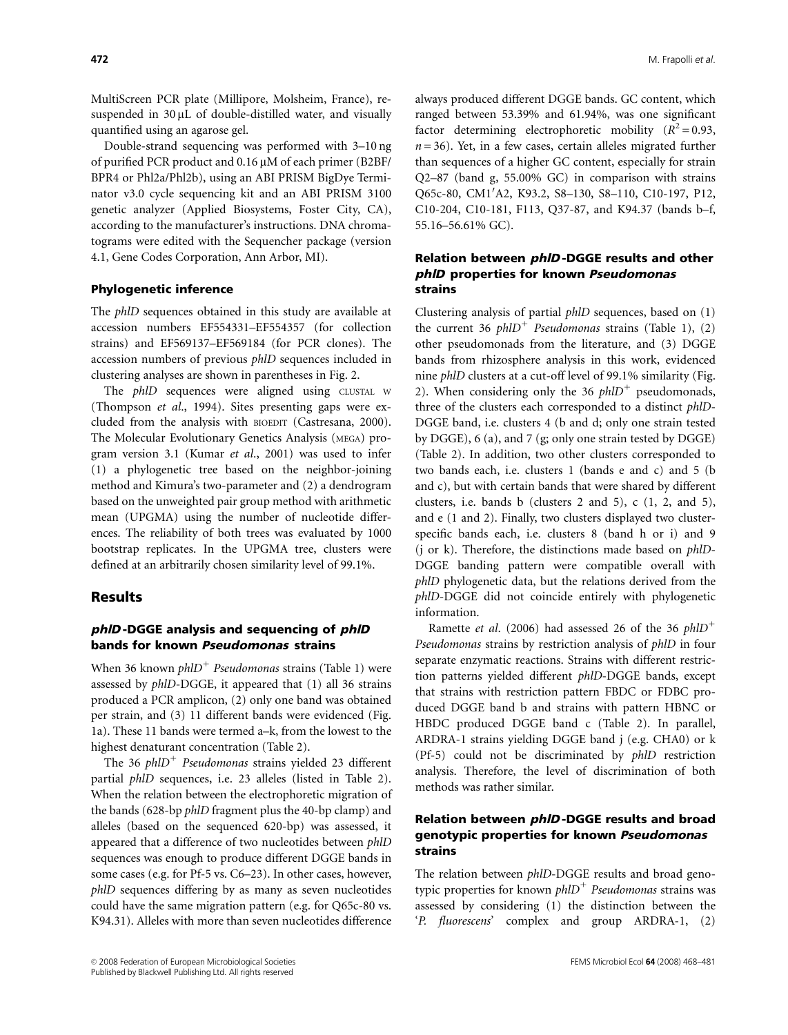MultiScreen PCR plate (Millipore, Molsheim, France), resuspended in  $30 \mu L$  of double-distilled water, and visually quantified using an agarose gel.

Double-strand sequencing was performed with 3–10 ng of purified PCR product and 0.16  $\mu$ M of each primer (B2BF/ BPR4 or Phl2a/Phl2b), using an ABI PRISM BigDye Terminator v3.0 cycle sequencing kit and an ABI PRISM 3100 genetic analyzer (Applied Biosystems, Foster City, CA), according to the manufacturer's instructions. DNA chromatograms were edited with the Sequencher package (version 4.1, Gene Codes Corporation, Ann Arbor, MI).

#### Phylogenetic inference

The phlD sequences obtained in this study are available at accession numbers EF554331–EF554357 (for collection strains) and EF569137–EF569184 (for PCR clones). The accession numbers of previous phlD sequences included in clustering analyses are shown in parentheses in Fig. 2.

The *phlD* sequences were aligned using CLUSTAL W (Thompson et al., 1994). Sites presenting gaps were excluded from the analysis with BIOEDIT (Castresana, 2000). The Molecular Evolutionary Genetics Analysis (MEGA) program version 3.1 (Kumar et al., 2001) was used to infer (1) a phylogenetic tree based on the neighbor-joining method and Kimura's two-parameter and (2) a dendrogram based on the unweighted pair group method with arithmetic mean (UPGMA) using the number of nucleotide differences. The reliability of both trees was evaluated by 1000 bootstrap replicates. In the UPGMA tree, clusters were defined at an arbitrarily chosen similarity level of 99.1%.

### **Results**

# phID-DGGE analysis and sequencing of phID bands for known Pseudomonas strains

When 36 known  $phID<sup>+</sup>$  Pseudomonas strains (Table 1) were assessed by phlD-DGGE, it appeared that (1) all 36 strains produced a PCR amplicon, (2) only one band was obtained per strain, and (3) 11 different bands were evidenced (Fig. 1a). These 11 bands were termed a–k, from the lowest to the highest denaturant concentration (Table 2).

The 36  $phID<sup>+</sup>$  Pseudomonas strains yielded 23 different partial phlD sequences, i.e. 23 alleles (listed in Table 2). When the relation between the electrophoretic migration of the bands (628-bp phlD fragment plus the 40-bp clamp) and alleles (based on the sequenced 620-bp) was assessed, it appeared that a difference of two nucleotides between phlD sequences was enough to produce different DGGE bands in some cases (e.g. for Pf-5 vs. C6–23). In other cases, however, phlD sequences differing by as many as seven nucleotides could have the same migration pattern (e.g. for Q65c-80 vs. K94.31). Alleles with more than seven nucleotides difference

always produced different DGGE bands. GC content, which ranged between 53.39% and 61.94%, was one significant factor determining electrophoretic mobility  $(R^2 = 0.93,$  $n = 36$ ). Yet, in a few cases, certain alleles migrated further than sequences of a higher GC content, especially for strain Q2–87 (band g, 55.00% GC) in comparison with strains Q65c-80, CM1'A2, K93.2, S8-130, S8-110, C10-197, P12, C10-204, C10-181, F113, Q37-87, and K94.37 (bands b–f, 55.16–56.61% GC).

# Relation between phlD -DGGE results and other phlD properties for known Pseudomonas strains

Clustering analysis of partial phlD sequences, based on (1) the current 36 phlD<sup>+</sup> Pseudomonas strains (Table 1), (2) other pseudomonads from the literature, and (3) DGGE bands from rhizosphere analysis in this work, evidenced nine phlD clusters at a cut-off level of 99.1% similarity (Fig. 2). When considering only the 36  $phID<sup>+</sup>$  pseudomonads, three of the clusters each corresponded to a distinct phlD-DGGE band, i.e. clusters 4 (b and d; only one strain tested by DGGE), 6 (a), and 7 (g; only one strain tested by DGGE) (Table 2). In addition, two other clusters corresponded to two bands each, i.e. clusters 1 (bands e and c) and 5 (b and c), but with certain bands that were shared by different clusters, i.e. bands b (clusters 2 and 5), c (1, 2, and 5), and e (1 and 2). Finally, two clusters displayed two clusterspecific bands each, i.e. clusters 8 (band h or i) and 9 (j or k). Therefore, the distinctions made based on phlD-DGGE banding pattern were compatible overall with phlD phylogenetic data, but the relations derived from the phlD-DGGE did not coincide entirely with phylogenetic information.

Ramette et al. (2006) had assessed 26 of the 36  $phID^+$ Pseudomonas strains by restriction analysis of phlD in four separate enzymatic reactions. Strains with different restriction patterns yielded different phlD-DGGE bands, except that strains with restriction pattern FBDC or FDBC produced DGGE band b and strains with pattern HBNC or HBDC produced DGGE band c (Table 2). In parallel, ARDRA-1 strains yielding DGGE band j (e.g. CHA0) or k (Pf-5) could not be discriminated by phlD restriction analysis. Therefore, the level of discrimination of both methods was rather similar.

# Relation between phlD -DGGE results and broad genotypic properties for known Pseudomonas strains

The relation between phlD-DGGE results and broad genotypic properties for known  $phID<sup>+</sup>$  Pseudomonas strains was assessed by considering (1) the distinction between the 'P. fluorescens' complex and group ARDRA-1, (2)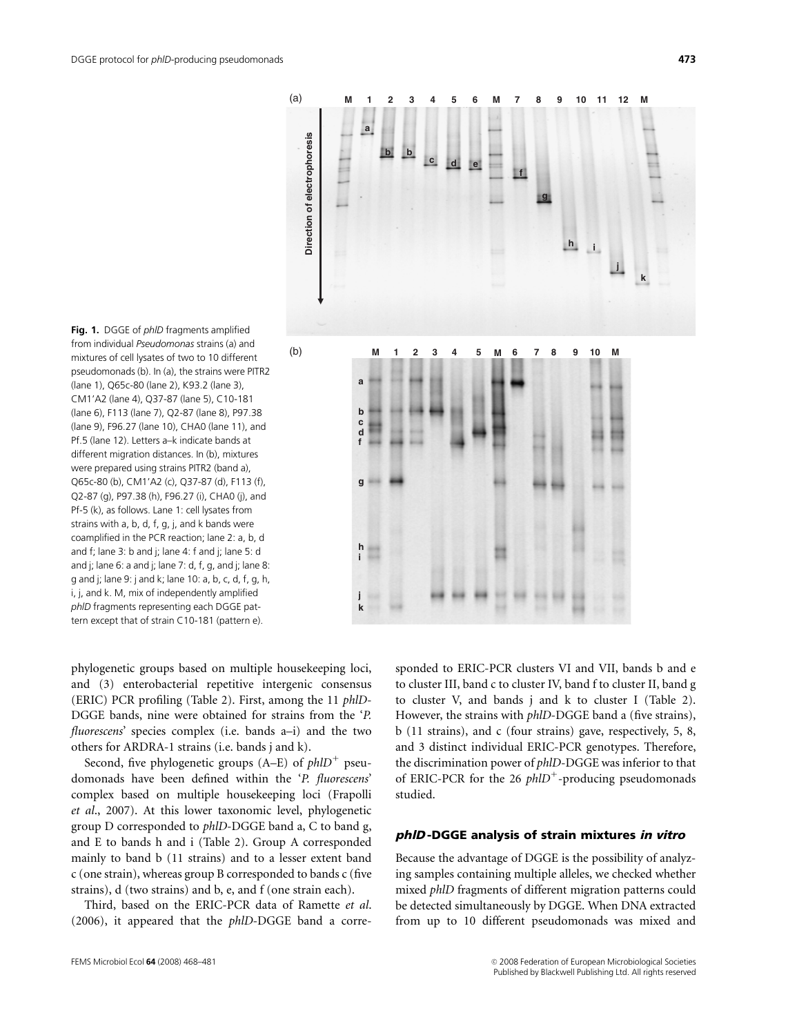

from individual Pseudomonas strains (a) and mixtures of cell lysates of two to 10 different pseudomonads (b). In (a), the strains were PITR2 (lane 1), Q65c-80 (lane 2), K93.2 (lane 3), CM1'A2 (lane 4), Q37-87 (lane 5), C10-181 (lane 6), F113 (lane 7), Q2-87 (lane 8), P97.38 (lane 9), F96.27 (lane 10), CHA0 (lane 11), and Pf.5 (lane 12). Letters a–k indicate bands at different migration distances. In (b), mixtures were prepared using strains PITR2 (band a), Q65c-80 (b), CM1'A2 (c), Q37-87 (d), F113 (f), Q2-87 (g), P97.38 (h), F96.27 (i), CHA0 (j), and Pf-5 (k), as follows. Lane 1: cell lysates from strains with a, b, d, f, g, j, and k bands were coamplified in the PCR reaction; lane 2: a, b, d and f; lane 3: b and j; lane 4: f and j; lane 5: d and j; lane 6: a and j; lane 7: d, f, g, and j; lane 8: g and j; lane 9: j and k; lane 10: a, b, c, d, f, g, h, i, j, and k. M, mix of independently amplified phlD fragments representing each DGGE pattern except that of strain C10-181 (pattern e).

Fig. 1. DGGE of *phID* fragments amplified

phylogenetic groups based on multiple housekeeping loci, and (3) enterobacterial repetitive intergenic consensus (ERIC) PCR profiling (Table 2). First, among the 11 phlD-DGGE bands, nine were obtained for strains from the 'P. fluorescens' species complex (i.e. bands a–i) and the two others for ARDRA-1 strains (i.e. bands j and k).

Second, five phylogenetic groups  $(A-E)$  of  $phID<sup>+</sup>$  pseudomonads have been defined within the 'P. fluorescens' complex based on multiple housekeeping loci (Frapolli et al., 2007). At this lower taxonomic level, phylogenetic group D corresponded to phlD-DGGE band a, C to band g, and E to bands h and i (Table 2). Group A corresponded mainly to band b (11 strains) and to a lesser extent band c (one strain), whereas group B corresponded to bands c (five strains), d (two strains) and b, e, and f (one strain each).

Third, based on the ERIC-PCR data of Ramette et al. (2006), it appeared that the phlD-DGGE band a corresponded to ERIC-PCR clusters VI and VII, bands b and e to cluster III, band c to cluster IV, band f to cluster II, band g to cluster V, and bands j and k to cluster I (Table 2). However, the strains with phlD-DGGE band a (five strains), b (11 strains), and c (four strains) gave, respectively, 5, 8, and 3 distinct individual ERIC-PCR genotypes. Therefore, the discrimination power of phlD-DGGE was inferior to that of ERIC-PCR for the 26  $phID^+$ -producing pseudomonads studied.

#### phlD -DGGE analysis of strain mixtures in vitro

Because the advantage of DGGE is the possibility of analyzing samples containing multiple alleles, we checked whether mixed phlD fragments of different migration patterns could be detected simultaneously by DGGE. When DNA extracted from up to 10 different pseudomonads was mixed and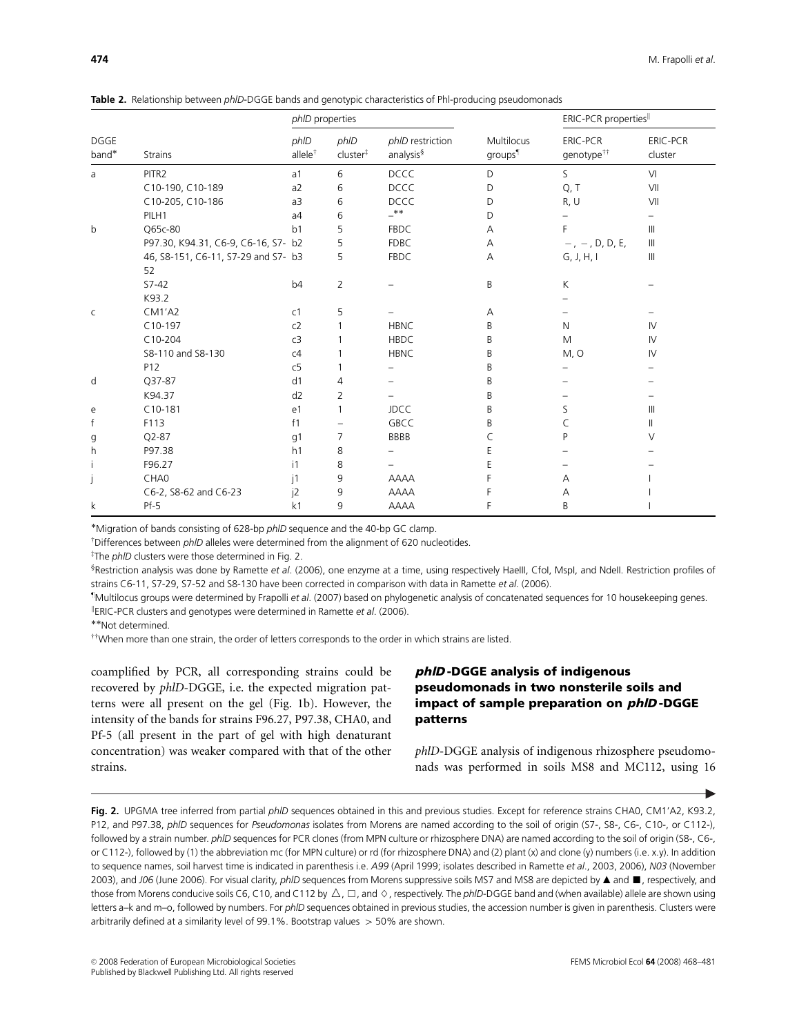|  |  |  |  | Table 2. Relationship between <i>phID-DGGE</i> bands and genotypic characteristics of PhI-producing pseudomonads |
|--|--|--|--|------------------------------------------------------------------------------------------------------------------|
|--|--|--|--|------------------------------------------------------------------------------------------------------------------|

|                      |                                     | phID properties             |                              |                                           |                                   | ERIC-PCR properties                       |                            |
|----------------------|-------------------------------------|-----------------------------|------------------------------|-------------------------------------------|-----------------------------------|-------------------------------------------|----------------------------|
| <b>DGGE</b><br>band* | <b>Strains</b>                      | phID<br>allele <sup>†</sup> | phID<br>cluster <sup>#</sup> | phID restriction<br>analysis <sup>§</sup> | Multilocus<br>groups <sup>¶</sup> | <b>ERIC-PCR</b><br>genotype <sup>††</sup> | <b>ERIC-PCR</b><br>cluster |
| a                    | PITR2                               | a <sub>1</sub>              | 6                            | <b>DCCC</b>                               | D                                 | S                                         | VI                         |
|                      | C10-190, C10-189                    | a2                          | 6                            | <b>DCCC</b>                               | D                                 | Q, T                                      | VII                        |
|                      | C10-205, C10-186                    | a3                          | 6                            | <b>DCCC</b>                               | D                                 | R, U                                      | VII                        |
|                      | PILH1                               | a <sub>4</sub>              | 6                            | $_{\pm *}$                                | D                                 |                                           |                            |
| b                    | Q65c-80                             | b <sub>1</sub>              | 5                            | <b>FBDC</b>                               | A                                 | F                                         | $\mathbf{III}$             |
|                      | P97.30, K94.31, C6-9, C6-16, S7- b2 |                             | 5                            | <b>FDBC</b>                               | Α                                 | $-$ , $-$ , D, D, E,                      | Ш                          |
|                      | 46, S8-151, C6-11, S7-29 and S7- b3 |                             | 5                            | <b>FBDC</b>                               | A                                 | G, J, H, I                                | $\mathbf{III}$             |
|                      | 52                                  |                             |                              |                                           |                                   |                                           |                            |
|                      | $S7 - 42$                           | b <sub>4</sub>              | $\overline{2}$               |                                           | B                                 | К                                         |                            |
|                      | K93.2                               |                             |                              |                                           |                                   |                                           |                            |
| C                    | $CM1'$ A2                           | C <sub>1</sub>              | 5                            |                                           | Α                                 |                                           |                            |
|                      | $C10-197$                           | c2                          |                              | <b>HBNC</b>                               | B                                 | N                                         | IV                         |
|                      | $C10-204$                           | c3                          |                              | <b>HBDC</b>                               | B                                 | M                                         | IV                         |
|                      | S8-110 and S8-130                   | c4                          |                              | <b>HBNC</b>                               | B                                 | M, O                                      | IV                         |
|                      | P12                                 | c5                          |                              |                                           | B                                 |                                           |                            |
| d                    | Q37-87                              | d1                          | 4                            |                                           | B                                 |                                           |                            |
|                      | K94.37                              | d2                          | $\overline{2}$               |                                           | B                                 |                                           |                            |
| e                    | $C10-181$                           | e1                          | 1                            | <b>JDCC</b>                               | B                                 | S                                         | Ш                          |
| $\mathsf{f}$         | F113                                | f1                          |                              | <b>GBCC</b>                               | B                                 | C                                         | Ш                          |
| g                    | $Q2 - 87$                           | g1                          | 7                            | <b>BBBB</b>                               | C                                 | P                                         | V                          |
| h                    | P97.38                              | h1                          | 8                            |                                           | E                                 |                                           |                            |
|                      | F96.27                              | i1                          | 8                            |                                           | E                                 |                                           |                            |
|                      | CHA0                                | j1                          | 9                            | <b>AAAA</b>                               | F                                 | Α                                         |                            |
|                      | C6-2, S8-62 and C6-23               | j2                          | 9                            | <b>AAAA</b>                               | F                                 | Α                                         |                            |
| k                    | Pf-5                                | k <sub>1</sub>              | 9                            | <b>AAAA</b>                               | F                                 | B                                         |                            |

Migration of bands consisting of 628-bp phlD sequence and the 40-bp GC clamp.

 $\bar{p}$  Differences between  $ph$  alleles were determined from the alignment of 620 nucleotides.

<sup>‡</sup>The *phID* clusters were those determined in Fig. 2.

<sup>§</sup>Restriction analysis was done by Ramette *et al.* (2006), one enzyme at a time, using respectively HaeIII, CfoI, MspI, and NdeII. Restriction profiles of strains C6-11, S7-29, S7-52 and S8-130 have been corrected in comparison with data in Ramette et al. (2006).

z Multilocus groups were determined by Frapolli et al. (2007) based on phylogenetic analysis of concatenated sequences for 10 housekeeping genes.

<sup>ll</sup>ERIC-PCR clusters and genotypes were determined in Ramette *et al.* (2006).<br>\*\*Not determined.

 $^{\dagger\dagger}$ When more than one strain, the order of letters corresponds to the order in which strains are listed.

coamplified by PCR, all corresponding strains could be recovered by phlD-DGGE, i.e. the expected migration patterns were all present on the gel (Fig. 1b). However, the intensity of the bands for strains F96.27, P97.38, CHA0, and Pf-5 (all present in the part of gel with high denaturant concentration) was weaker compared with that of the other strains.

# phlD -DGGE analysis of indigenous pseudomonads in two nonsterile soils and impact of sample preparation on phlD -DGGE patterns

phlD-DGGE analysis of indigenous rhizosphere pseudomonads was performed in soils MS8 and MC112, using 16

Fig. 2. UPGMA tree inferred from partial phlD sequences obtained in this and previous studies. Except for reference strains CHA0, CM1'A2, K93.2, P12, and P97.38, phID sequences for Pseudomonas isolates from Morens are named according to the soil of origin (S7-, S8-, C6-, C10-, or C112-), followed by a strain number. phlD sequences for PCR clones (from MPN culture or rhizosphere DNA) are named according to the soil of origin (S8-, C6-, or C112-), followed by (1) the abbreviation mc (for MPN culture) or rd (for rhizosphere DNA) and (2) plant (x) and clone (y) numbers (i.e. x.y). In addition to sequence names, soil harvest time is indicated in parenthesis i.e. A99 (April 1999; isolates described in Ramette et al., 2003, 2006), N03 (November 2003), and J06 (June 2006). For visual clarity, *phlD* sequences from Morens suppressive soils MS7 and MS8 are depicted by ▲ and ■, respectively, and those from Morens conducive soils C6, C10, and C112 by  $\triangle$ ,  $\Box$ , and  $\diamond$ , respectively. The *phID*-DGGE band and (when available) allele are shown using letters a–k and m–o, followed by numbers. For phlD sequences obtained in previous studies, the accession number is given in parenthesis. Clusters were arbitrarily defined at a similarity level of 99.1%. Bootstrap values  $>$  50% are shown.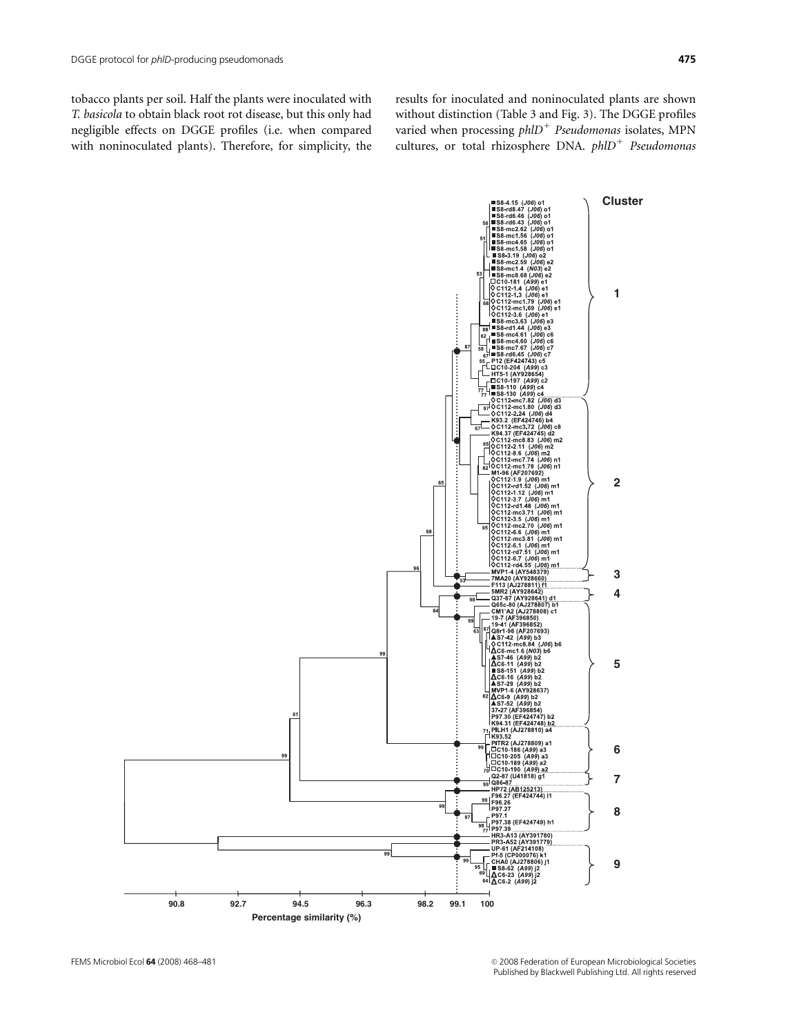with noninoculated plants). Therefore, for simplicity, the

results for inoculated and noninoculated plants are shown without distinction (Table 3 and Fig. 3). The DGGE profiles varied when processing  $phID<sup>+</sup>$  Pseudomonas isolates, MPN cultures, or total rhizosphere DNA.  $phID<sup>+</sup>$  Pseudomonas

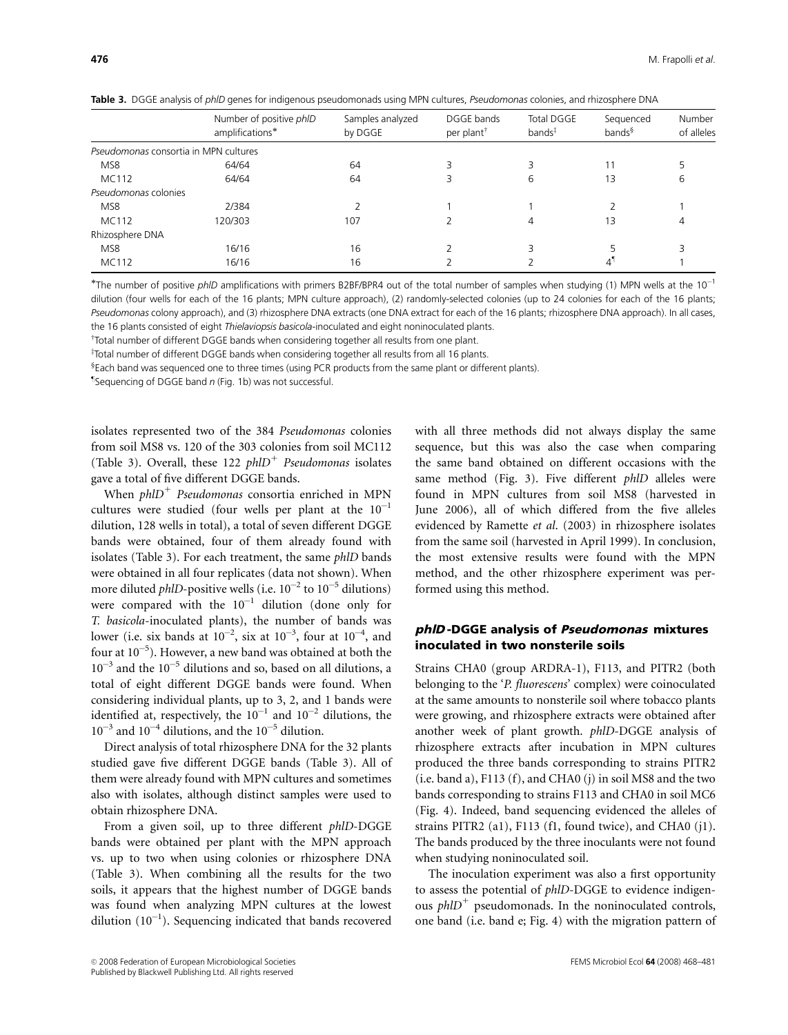|                                       | Number of positive phID | Samples analyzed | DGGE bands             | <b>Total DGGE</b>  | Sequenced          | Number<br>of alleles |
|---------------------------------------|-------------------------|------------------|------------------------|--------------------|--------------------|----------------------|
|                                       | amplifications*         | by DGGE          | per plant <sup>†</sup> | bands <sup>‡</sup> | bands <sup>§</sup> |                      |
| Pseudomonas consortia in MPN cultures |                         |                  |                        |                    |                    |                      |
| MS8                                   | 64/64                   | 64               |                        |                    |                    |                      |
| MC112                                 | 64/64                   | 64               |                        | 6                  | 13                 | 6                    |
| Pseudomonas colonies                  |                         |                  |                        |                    |                    |                      |
| MS8                                   | 2/384                   |                  |                        |                    |                    |                      |
| MC112                                 | 120/303                 | 107              |                        | 4                  | 13                 | 4                    |
| Rhizosphere DNA                       |                         |                  |                        |                    |                    |                      |
| MS8                                   | 16/16                   | 16               |                        |                    |                    |                      |
| MC112                                 | 16/16                   | 16               |                        |                    | $4^{\bullet}$      |                      |

Table 3. DGGE analysis of phlD genes for indigenous pseudomonads using MPN cultures, Pseudomonas colonies, and rhizosphere DNA

\*The number of positive phID amplifications with primers B2BF/BPR4 out of the total number of samples when studying (1) MPN wells at the  $10^{-1}$ dilution (four wells for each of the 16 plants; MPN culture approach), (2) randomly-selected colonies (up to 24 colonies for each of the 16 plants; Pseudomonas colony approach), and (3) rhizosphere DNA extracts (one DNA extract for each of the 16 plants; rhizosphere DNA approach). In all cases, the 16 plants consisted of eight Thielaviopsis basicola-inoculated and eight noninoculated plants.

 $\scriptstyle\rm T$ Total number of different DGGE bands when considering together all results from one plant.

z Total number of different DGGE bands when considering together all results from all 16 plants.

‰ Each band was sequenced one to three times (using PCR products from the same plant or different plants).

 $\mathbb{I}$ Sequencing of DGGE band n (Fig. 1b) was not successful.

isolates represented two of the 384 Pseudomonas colonies from soil MS8 vs. 120 of the 303 colonies from soil MC112 (Table 3). Overall, these 122  $phID<sup>+</sup>$  Pseudomonas isolates gave a total of five different DGGE bands.

When  $phID<sup>+</sup>$  Pseudomonas consortia enriched in MPN cultures were studied (four wells per plant at the  $10^{-1}$ dilution, 128 wells in total), a total of seven different DGGE bands were obtained, four of them already found with isolates (Table 3). For each treatment, the same phlD bands were obtained in all four replicates (data not shown). When more diluted *phlD*-positive wells (i.e.  $10^{-2}$  to  $10^{-5}$  dilutions) were compared with the  $10^{-1}$  dilution (done only for T. basicola-inoculated plants), the number of bands was lower (i.e. six bands at  $10^{-2}$ , six at  $10^{-3}$ , four at  $10^{-4}$ , and four at  $10^{-5}$ ). However, a new band was obtained at both the  $10^{-3}$  and the  $10^{-5}$  dilutions and so, based on all dilutions, a total of eight different DGGE bands were found. When considering individual plants, up to 3, 2, and 1 bands were identified at, respectively, the  $10^{-1}$  and  $10^{-2}$  dilutions, the  $10^{-3}$  and  $10^{-4}$  dilutions, and the  $10^{-5}$  dilution.

Direct analysis of total rhizosphere DNA for the 32 plants studied gave five different DGGE bands (Table 3). All of them were already found with MPN cultures and sometimes also with isolates, although distinct samples were used to obtain rhizosphere DNA.

From a given soil, up to three different phlD-DGGE bands were obtained per plant with the MPN approach vs. up to two when using colonies or rhizosphere DNA (Table 3). When combining all the results for the two soils, it appears that the highest number of DGGE bands was found when analyzing MPN cultures at the lowest dilution  $(10^{-1})$ . Sequencing indicated that bands recovered

with all three methods did not always display the same sequence, but this was also the case when comparing the same band obtained on different occasions with the same method (Fig. 3). Five different *phlD* alleles were found in MPN cultures from soil MS8 (harvested in June 2006), all of which differed from the five alleles evidenced by Ramette et al. (2003) in rhizosphere isolates from the same soil (harvested in April 1999). In conclusion, the most extensive results were found with the MPN method, and the other rhizosphere experiment was performed using this method.

# phlD -DGGE analysis of Pseudomonas mixtures inoculated in two nonsterile soils

Strains CHA0 (group ARDRA-1), F113, and PITR2 (both belonging to the 'P. fluorescens' complex) were coinoculated at the same amounts to nonsterile soil where tobacco plants were growing, and rhizosphere extracts were obtained after another week of plant growth. phlD-DGGE analysis of rhizosphere extracts after incubation in MPN cultures produced the three bands corresponding to strains PITR2 (i.e. band a), F113 (f), and CHA0 (j) in soil MS8 and the two bands corresponding to strains F113 and CHA0 in soil MC6 (Fig. 4). Indeed, band sequencing evidenced the alleles of strains PITR2 (a1), F113 (f1, found twice), and CHA0 (j1). The bands produced by the three inoculants were not found when studying noninoculated soil.

The inoculation experiment was also a first opportunity to assess the potential of phlD-DGGE to evidence indigenous  $phID<sup>+</sup>$  pseudomonads. In the noninoculated controls, one band (i.e. band e; Fig. 4) with the migration pattern of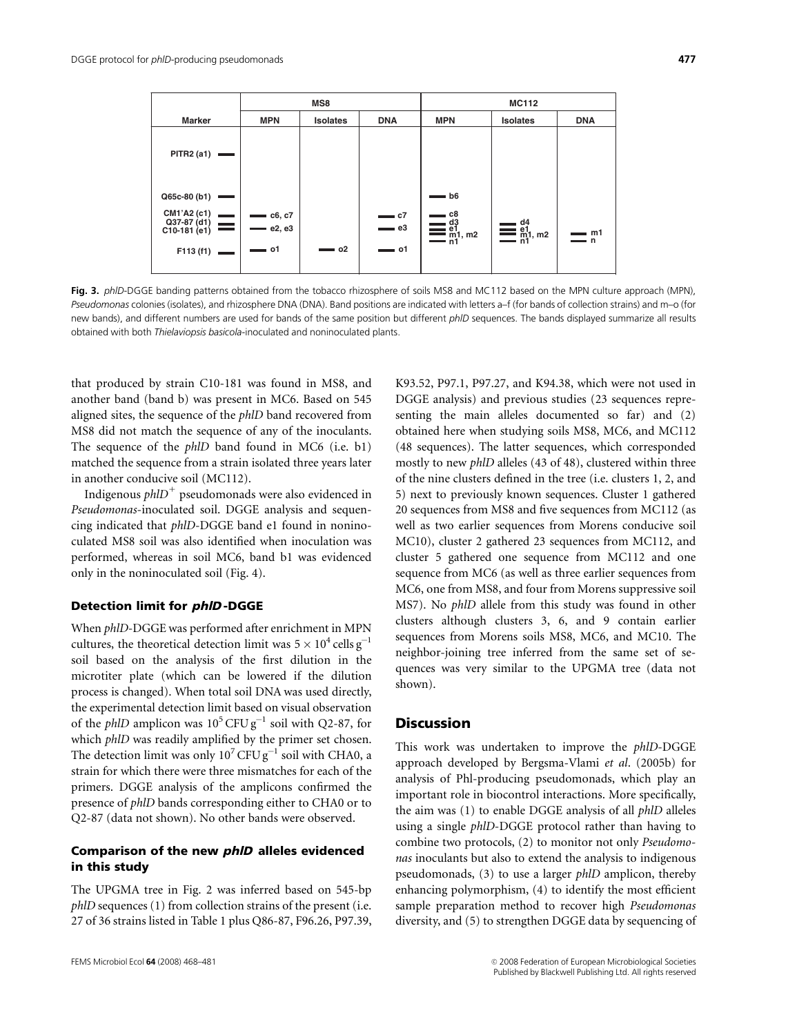|                                                                |                                                         | MS8             |                       | <b>MC112</b>                                                   |                  |            |
|----------------------------------------------------------------|---------------------------------------------------------|-----------------|-----------------------|----------------------------------------------------------------|------------------|------------|
| <b>Marker</b>                                                  | <b>MPN</b>                                              | <b>Isolates</b> | <b>DNA</b>            | <b>MPN</b>                                                     | <b>Isolates</b>  | <b>DNA</b> |
| <b>PITR2 (a1)</b>                                              |                                                         |                 |                       |                                                                |                  |            |
| Q65c-80 (b1)<br><b>Contract</b>                                |                                                         |                 |                       | $=$ b6                                                         |                  |            |
| CM1'A2 (c1)<br>Q37-87 (d1)<br>$=$<br>C10-181 (e1)<br>F113 (f1) | $=$ $c6, c7$<br>e <sub>2</sub> , e <sub>3</sub><br>— o1 | $= 02$          | c7<br>e3<br><b>o1</b> | . с8<br>$\sum_{\substack{d_3 \text{min} \ n_1, m_2}}^{\infty}$ | $\sum_{n=1}^{d}$ | m1<br>— n  |

Fig. 3. ph/D-DGGE banding patterns obtained from the tobacco rhizosphere of soils MS8 and MC112 based on the MPN culture approach (MPN), Pseudomonas colonies (isolates), and rhizosphere DNA (DNA). Band positions are indicated with letters a–f (for bands of collection strains) and m–o (for new bands), and different numbers are used for bands of the same position but different phID sequences. The bands displayed summarize all results obtained with both Thielaviopsis basicola-inoculated and noninoculated plants.

that produced by strain C10-181 was found in MS8, and another band (band b) was present in MC6. Based on 545 aligned sites, the sequence of the phlD band recovered from MS8 did not match the sequence of any of the inoculants. The sequence of the phlD band found in MC6 (i.e. b1) matched the sequence from a strain isolated three years later in another conducive soil (MC112).

Indigenous  $phID<sup>+</sup>$  pseudomonads were also evidenced in Pseudomonas-inoculated soil. DGGE analysis and sequencing indicated that phlD-DGGE band e1 found in noninoculated MS8 soil was also identified when inoculation was performed, whereas in soil MC6, band b1 was evidenced only in the noninoculated soil (Fig. 4).

#### Detection limit for phlD -DGGE

When phlD-DGGE was performed after enrichment in MPN cultures, the theoretical detection limit was  $5 \times 10^4$  cells  $g^{-1}$ soil based on the analysis of the first dilution in the microtiter plate (which can be lowered if the dilution process is changed). When total soil DNA was used directly, the experimental detection limit based on visual observation of the *phlD* amplicon was  $10^5$  CFU g<sup>-1</sup> soil with Q2-87, for which *phlD* was readily amplified by the primer set chosen. The detection limit was only  $10^7$  CFU g<sup>-1</sup> soil with CHA0, a strain for which there were three mismatches for each of the primers. DGGE analysis of the amplicons confirmed the presence of phlD bands corresponding either to CHA0 or to Q2-87 (data not shown). No other bands were observed.

# Comparison of the new phlD alleles evidenced in this study

The UPGMA tree in Fig. 2 was inferred based on 545-bp phlD sequences (1) from collection strains of the present (i.e. 27 of 36 strains listed in Table 1 plus Q86-87, F96.26, P97.39,

DGGE analysis) and previous studies (23 sequences representing the main alleles documented so far) and (2) obtained here when studying soils MS8, MC6, and MC112 (48 sequences). The latter sequences, which corresponded mostly to new phlD alleles (43 of 48), clustered within three of the nine clusters defined in the tree (i.e. clusters 1, 2, and 5) next to previously known sequences. Cluster 1 gathered 20 sequences from MS8 and five sequences from MC112 (as well as two earlier sequences from Morens conducive soil MC10), cluster 2 gathered 23 sequences from MC112, and cluster 5 gathered one sequence from MC112 and one sequence from MC6 (as well as three earlier sequences from MC6, one from MS8, and four from Morens suppressive soil MS7). No phlD allele from this study was found in other clusters although clusters 3, 6, and 9 contain earlier sequences from Morens soils MS8, MC6, and MC10. The neighbor-joining tree inferred from the same set of sequences was very similar to the UPGMA tree (data not shown).

K93.52, P97.1, P97.27, and K94.38, which were not used in

# **Discussion**

This work was undertaken to improve the phlD-DGGE approach developed by Bergsma-Vlami et al. (2005b) for analysis of Phl-producing pseudomonads, which play an important role in biocontrol interactions. More specifically, the aim was (1) to enable DGGE analysis of all phlD alleles using a single phlD-DGGE protocol rather than having to combine two protocols, (2) to monitor not only Pseudomonas inoculants but also to extend the analysis to indigenous pseudomonads, (3) to use a larger phlD amplicon, thereby enhancing polymorphism, (4) to identify the most efficient sample preparation method to recover high Pseudomonas diversity, and (5) to strengthen DGGE data by sequencing of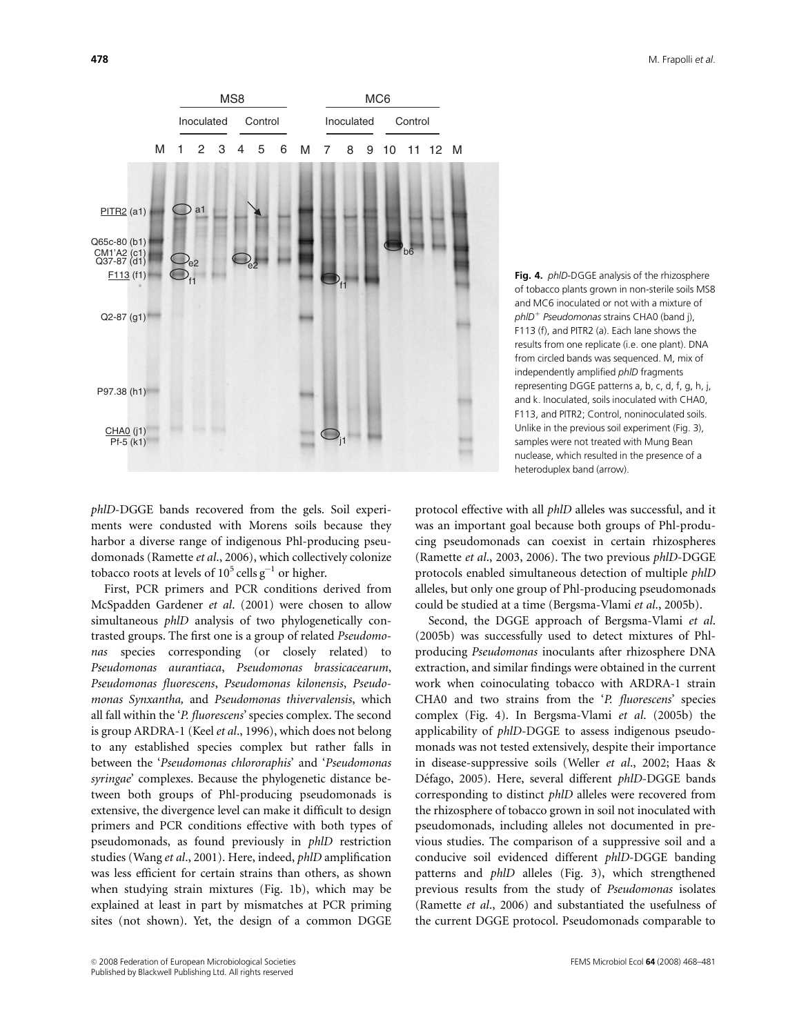

Fig. 4. *phID-DGGE* analysis of the rhizosphere of tobacco plants grown in non-sterile soils MS8 and MC6 inoculated or not with a mixture of  $phID<sup>+</sup> Pseudomonas strains CHAO (band i).$ F113 (f), and PITR2 (a). Each lane shows the results from one replicate (i.e. one plant). DNA from circled bands was sequenced. M, mix of independently amplified phlD fragments representing DGGE patterns a, b, c, d, f, g, h, j, and k. Inoculated, soils inoculated with CHA0, F113, and PITR2; Control, noninoculated soils. Unlike in the previous soil experiment (Fig. 3), samples were not treated with Mung Bean nuclease, which resulted in the presence of a heteroduplex band (arrow).

phlD-DGGE bands recovered from the gels. Soil experiments were condusted with Morens soils because they harbor a diverse range of indigenous Phl-producing pseudomonads (Ramette et al., 2006), which collectively colonize tobacco roots at levels of  $10^5$  cells  $g^{-1}$  or higher.

First, PCR primers and PCR conditions derived from McSpadden Gardener et al. (2001) were chosen to allow simultaneous *phlD* analysis of two phylogenetically contrasted groups. The first one is a group of related Pseudomonas species corresponding (or closely related) to Pseudomonas aurantiaca, Pseudomonas brassicacearum, Pseudomonas fluorescens, Pseudomonas kilonensis, Pseudomonas Synxantha, and Pseudomonas thivervalensis, which all fall within the 'P. fluorescens' species complex. The second is group ARDRA-1 (Keel et al., 1996), which does not belong to any established species complex but rather falls in between the 'Pseudomonas chlororaphis' and 'Pseudomonas syringae' complexes. Because the phylogenetic distance between both groups of Phl-producing pseudomonads is extensive, the divergence level can make it difficult to design primers and PCR conditions effective with both types of pseudomonads, as found previously in phlD restriction studies (Wang et al., 2001). Here, indeed, phlD amplification was less efficient for certain strains than others, as shown when studying strain mixtures (Fig. 1b), which may be explained at least in part by mismatches at PCR priming sites (not shown). Yet, the design of a common DGGE

protocol effective with all phlD alleles was successful, and it was an important goal because both groups of Phl-producing pseudomonads can coexist in certain rhizospheres (Ramette et al., 2003, 2006). The two previous phlD-DGGE protocols enabled simultaneous detection of multiple phlD alleles, but only one group of Phl-producing pseudomonads could be studied at a time (Bergsma-Vlami et al., 2005b).

Second, the DGGE approach of Bergsma-Vlami et al. (2005b) was successfully used to detect mixtures of Phlproducing Pseudomonas inoculants after rhizosphere DNA extraction, and similar findings were obtained in the current work when coinoculating tobacco with ARDRA-1 strain CHA0 and two strains from the 'P. fluorescens' species complex (Fig. 4). In Bergsma-Vlami et al. (2005b) the applicability of phlD-DGGE to assess indigenous pseudomonads was not tested extensively, despite their importance in disease-suppressive soils (Weller et al., 2002; Haas & Défago, 2005). Here, several different phlD-DGGE bands corresponding to distinct phlD alleles were recovered from the rhizosphere of tobacco grown in soil not inoculated with pseudomonads, including alleles not documented in previous studies. The comparison of a suppressive soil and a conducive soil evidenced different phlD-DGGE banding patterns and phlD alleles (Fig. 3), which strengthened previous results from the study of Pseudomonas isolates (Ramette et al., 2006) and substantiated the usefulness of the current DGGE protocol. Pseudomonads comparable to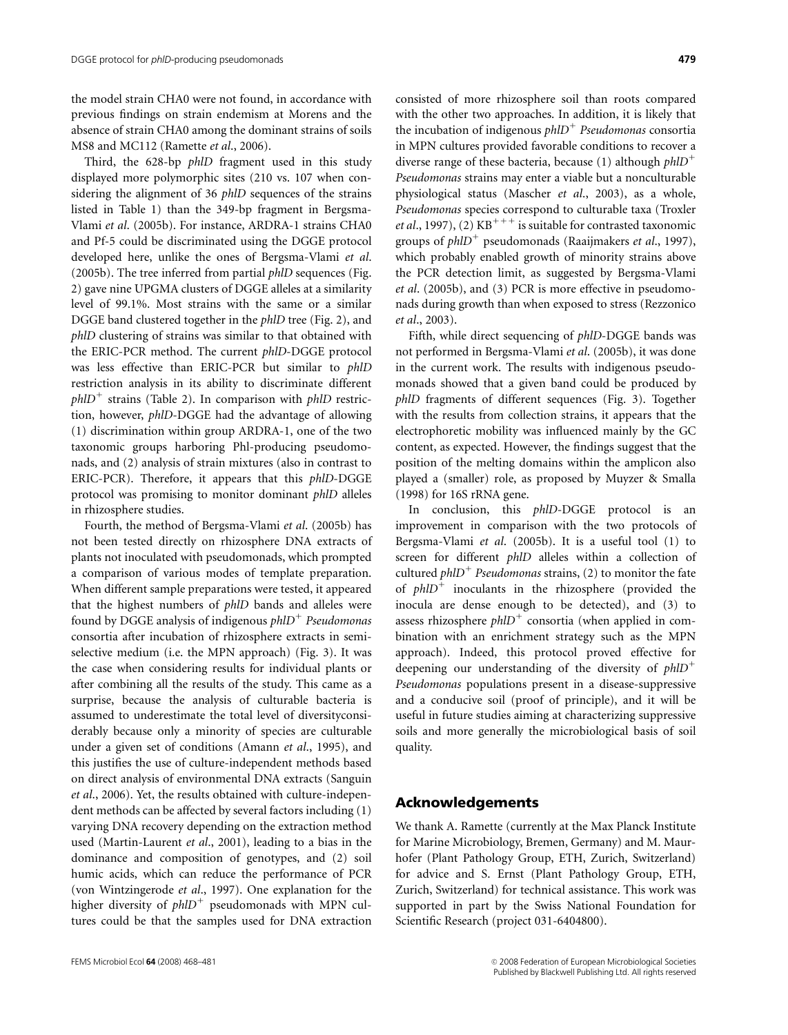the model strain CHA0 were not found, in accordance with previous findings on strain endemism at Morens and the absence of strain CHA0 among the dominant strains of soils MS8 and MC112 (Ramette et al., 2006).

Third, the 628-bp *phlD* fragment used in this study displayed more polymorphic sites (210 vs. 107 when considering the alignment of 36 *phlD* sequences of the strains listed in Table 1) than the 349-bp fragment in Bergsma-Vlami et al. (2005b). For instance, ARDRA-1 strains CHA0 and Pf-5 could be discriminated using the DGGE protocol developed here, unlike the ones of Bergsma-Vlami et al. (2005b). The tree inferred from partial phlD sequences (Fig. 2) gave nine UPGMA clusters of DGGE alleles at a similarity level of 99.1%. Most strains with the same or a similar DGGE band clustered together in the phlD tree (Fig. 2), and phlD clustering of strains was similar to that obtained with the ERIC-PCR method. The current phlD-DGGE protocol was less effective than ERIC-PCR but similar to phlD restriction analysis in its ability to discriminate different  $phID^+$  strains (Table 2). In comparison with phlD restriction, however, phlD-DGGE had the advantage of allowing (1) discrimination within group ARDRA-1, one of the two taxonomic groups harboring Phl-producing pseudomonads, and (2) analysis of strain mixtures (also in contrast to ERIC-PCR). Therefore, it appears that this phlD-DGGE protocol was promising to monitor dominant phlD alleles in rhizosphere studies.

Fourth, the method of Bergsma-Vlami et al. (2005b) has not been tested directly on rhizosphere DNA extracts of plants not inoculated with pseudomonads, which prompted a comparison of various modes of template preparation. When different sample preparations were tested, it appeared that the highest numbers of phlD bands and alleles were found by DGGE analysis of indigenous  $phID<sup>+</sup>$  Pseudomonas consortia after incubation of rhizosphere extracts in semiselective medium (i.e. the MPN approach) (Fig. 3). It was the case when considering results for individual plants or after combining all the results of the study. This came as a surprise, because the analysis of culturable bacteria is assumed to underestimate the total level of diversityconsiderably because only a minority of species are culturable under a given set of conditions (Amann et al., 1995), and this justifies the use of culture-independent methods based on direct analysis of environmental DNA extracts (Sanguin et al., 2006). Yet, the results obtained with culture-independent methods can be affected by several factors including (1) varying DNA recovery depending on the extraction method used (Martin-Laurent et al., 2001), leading to a bias in the dominance and composition of genotypes, and (2) soil humic acids, which can reduce the performance of PCR (von Wintzingerode et al., 1997). One explanation for the higher diversity of  $phID<sup>+</sup>$  pseudomonads with MPN cultures could be that the samples used for DNA extraction

consisted of more rhizosphere soil than roots compared with the other two approaches. In addition, it is likely that the incubation of indigenous  $phID<sup>+</sup>$  Pseudomonas consortia in MPN cultures provided favorable conditions to recover a diverse range of these bacteria, because (1) although  $phID^+$ Pseudomonas strains may enter a viable but a nonculturable physiological status (Mascher et al., 2003), as a whole, Pseudomonas species correspond to culturable taxa (Troxler et al., 1997), (2)  $KB^{+++}$  is suitable for contrasted taxonomic groups of  $phID^+$  pseudomonads (Raaijmakers *et al.*, 1997), which probably enabled growth of minority strains above the PCR detection limit, as suggested by Bergsma-Vlami et al. (2005b), and (3) PCR is more effective in pseudomonads during growth than when exposed to stress (Rezzonico et al., 2003).

Fifth, while direct sequencing of phlD-DGGE bands was not performed in Bergsma-Vlami et al. (2005b), it was done in the current work. The results with indigenous pseudomonads showed that a given band could be produced by phlD fragments of different sequences (Fig. 3). Together with the results from collection strains, it appears that the electrophoretic mobility was influenced mainly by the GC content, as expected. However, the findings suggest that the position of the melting domains within the amplicon also played a (smaller) role, as proposed by Muyzer & Smalla (1998) for 16S rRNA gene.

In conclusion, this phlD-DGGE protocol is an improvement in comparison with the two protocols of Bergsma-Vlami et al. (2005b). It is a useful tool (1) to screen for different phlD alleles within a collection of cultured *phlD<sup>+</sup>* Pseudomonas strains, (2) to monitor the fate of  $phID^+$  inoculants in the rhizosphere (provided the inocula are dense enough to be detected), and (3) to assess rhizosphere  $phID^+$  consortia (when applied in combination with an enrichment strategy such as the MPN approach). Indeed, this protocol proved effective for deepening our understanding of the diversity of  $phID^+$ Pseudomonas populations present in a disease-suppressive and a conducive soil (proof of principle), and it will be useful in future studies aiming at characterizing suppressive soils and more generally the microbiological basis of soil quality.

#### Acknowledgements

We thank A. Ramette (currently at the Max Planck Institute for Marine Microbiology, Bremen, Germany) and M. Maurhofer (Plant Pathology Group, ETH, Zurich, Switzerland) for advice and S. Ernst (Plant Pathology Group, ETH, Zurich, Switzerland) for technical assistance. This work was supported in part by the Swiss National Foundation for Scientific Research (project 031-6404800).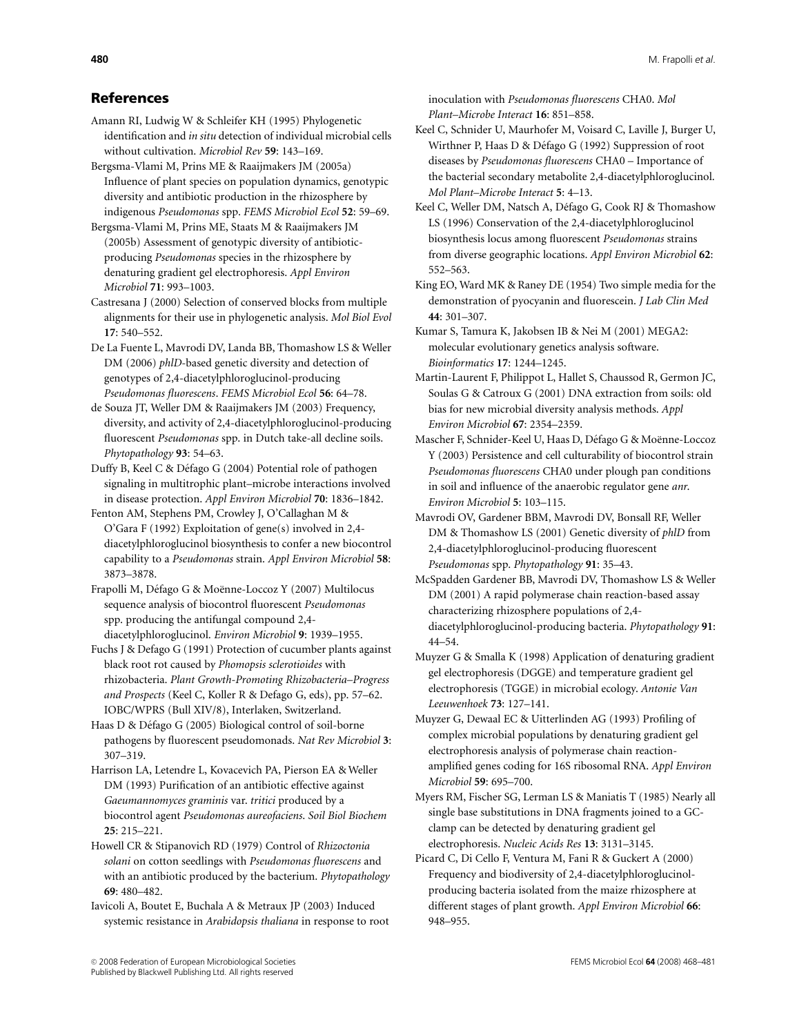# References

- Amann RI, Ludwig W & Schleifer KH (1995) Phylogenetic identification and in situ detection of individual microbial cells without cultivation. Microbiol Rev 59: 143–169.
- Bergsma-Vlami M, Prins ME & Raaijmakers JM (2005a) Influence of plant species on population dynamics, genotypic diversity and antibiotic production in the rhizosphere by indigenous Pseudomonas spp. FEMS Microbiol Ecol 52: 59–69.
- Bergsma-Vlami M, Prins ME, Staats M & Raaijmakers JM (2005b) Assessment of genotypic diversity of antibioticproducing Pseudomonas species in the rhizosphere by denaturing gradient gel electrophoresis. Appl Environ Microbiol 71: 993–1003.
- Castresana J (2000) Selection of conserved blocks from multiple alignments for their use in phylogenetic analysis. Mol Biol Evol  $17.540 - 552$
- De La Fuente L, Mavrodi DV, Landa BB, Thomashow LS & Weller DM (2006) phlD-based genetic diversity and detection of genotypes of 2,4-diacetylphloroglucinol-producing Pseudomonas fluorescens. FEMS Microbiol Ecol 56: 64–78.
- de Souza JT, Weller DM & Raaijmakers JM (2003) Frequency, diversity, and activity of 2,4-diacetylphloroglucinol-producing fluorescent Pseudomonas spp. in Dutch take-all decline soils. Phytopathology 93: 54–63.
- Duffy B, Keel C & Défago G (2004) Potential role of pathogen signaling in multitrophic plant–microbe interactions involved in disease protection. Appl Environ Microbiol 70: 1836–1842.
- Fenton AM, Stephens PM, Crowley J, O'Callaghan M & O'Gara F (1992) Exploitation of gene(s) involved in 2,4 diacetylphloroglucinol biosynthesis to confer a new biocontrol capability to a Pseudomonas strain. Appl Environ Microbiol 58: 3873–3878.
- Frapolli M, Défago G & Moënne-Loccoz Y (2007) Multilocus sequence analysis of biocontrol fluorescent Pseudomonas spp. producing the antifungal compound 2,4 diacetylphloroglucinol. Environ Microbiol 9: 1939–1955.
- Fuchs J & Defago G (1991) Protection of cucumber plants against black root rot caused by Phomopsis sclerotioides with rhizobacteria. Plant Growth-Promoting Rhizobacteria–Progress and Prospects (Keel C, Koller R & Defago G, eds), pp. 57–62. IOBC/WPRS (Bull XIV/8), Interlaken, Switzerland.
- Haas D & Défago G (2005) Biological control of soil-borne pathogens by fluorescent pseudomonads. Nat Rev Microbiol 3: 307–319.
- Harrison LA, Letendre L, Kovacevich PA, Pierson EA & Weller DM (1993) Purification of an antibiotic effective against Gaeumannomyces graminis var. tritici produced by a biocontrol agent Pseudomonas aureofaciens. Soil Biol Biochem 25: 215–221.
- Howell CR & Stipanovich RD (1979) Control of Rhizoctonia solani on cotton seedlings with Pseudomonas fluorescens and with an antibiotic produced by the bacterium. Phytopathology 69: 480–482.
- Iavicoli A, Boutet E, Buchala A & Metraux JP (2003) Induced systemic resistance in Arabidopsis thaliana in response to root

inoculation with Pseudomonas fluorescens CHA0. Mol Plant–Microbe Interact 16: 851–858.

- Keel C, Schnider U, Maurhofer M, Voisard C, Laville J, Burger U, Wirthner P, Haas D & Défago G (1992) Suppression of root diseases by Pseudomonas fluorescens CHA0 – Importance of the bacterial secondary metabolite 2,4-diacetylphloroglucinol. Mol Plant–Microbe Interact 5: 4–13.
- Keel C, Weller DM, Natsch A, Défago G, Cook RJ & Thomashow LS (1996) Conservation of the 2,4-diacetylphloroglucinol biosynthesis locus among fluorescent Pseudomonas strains from diverse geographic locations. Appl Environ Microbiol 62: 552–563.
- King EO, Ward MK & Raney DE (1954) Two simple media for the demonstration of pyocyanin and fluorescein. J Lab Clin Med 44: 301–307.
- Kumar S, Tamura K, Jakobsen IB & Nei M (2001) MEGA2: molecular evolutionary genetics analysis software. Bioinformatics 17: 1244–1245.
- Martin-Laurent F, Philippot L, Hallet S, Chaussod R, Germon JC, Soulas G & Catroux G (2001) DNA extraction from soils: old bias for new microbial diversity analysis methods. Appl Environ Microbiol 67: 2354–2359.
- Mascher F, Schnider-Keel U, Haas D, Défago G & Moënne-Loccoz Y (2003) Persistence and cell culturability of biocontrol strain Pseudomonas fluorescens CHA0 under plough pan conditions in soil and influence of the anaerobic regulator gene anr. Environ Microbiol 5: 103–115.
- Mavrodi OV, Gardener BBM, Mavrodi DV, Bonsall RF, Weller DM & Thomashow LS (2001) Genetic diversity of phlD from 2,4-diacetylphloroglucinol-producing fluorescent Pseudomonas spp. Phytopathology 91: 35–43.
- McSpadden Gardener BB, Mavrodi DV, Thomashow LS & Weller DM (2001) A rapid polymerase chain reaction-based assay characterizing rhizosphere populations of 2,4 diacetylphloroglucinol-producing bacteria. Phytopathology 91: 44–54.
- Muyzer G & Smalla K (1998) Application of denaturing gradient gel electrophoresis (DGGE) and temperature gradient gel electrophoresis (TGGE) in microbial ecology. Antonie Van Leeuwenhoek 73: 127–141.
- Muyzer G, Dewaal EC & Uitterlinden AG (1993) Profiling of complex microbial populations by denaturing gradient gel electrophoresis analysis of polymerase chain reactionamplified genes coding for 16S ribosomal RNA. Appl Environ Microbiol 59: 695–700.
- Myers RM, Fischer SG, Lerman LS & Maniatis T (1985) Nearly all single base substitutions in DNA fragments joined to a GCclamp can be detected by denaturing gradient gel electrophoresis. Nucleic Acids Res 13: 3131–3145.
- Picard C, Di Cello F, Ventura M, Fani R & Guckert A (2000) Frequency and biodiversity of 2,4-diacetylphloroglucinolproducing bacteria isolated from the maize rhizosphere at different stages of plant growth. Appl Environ Microbiol 66: 948–955.